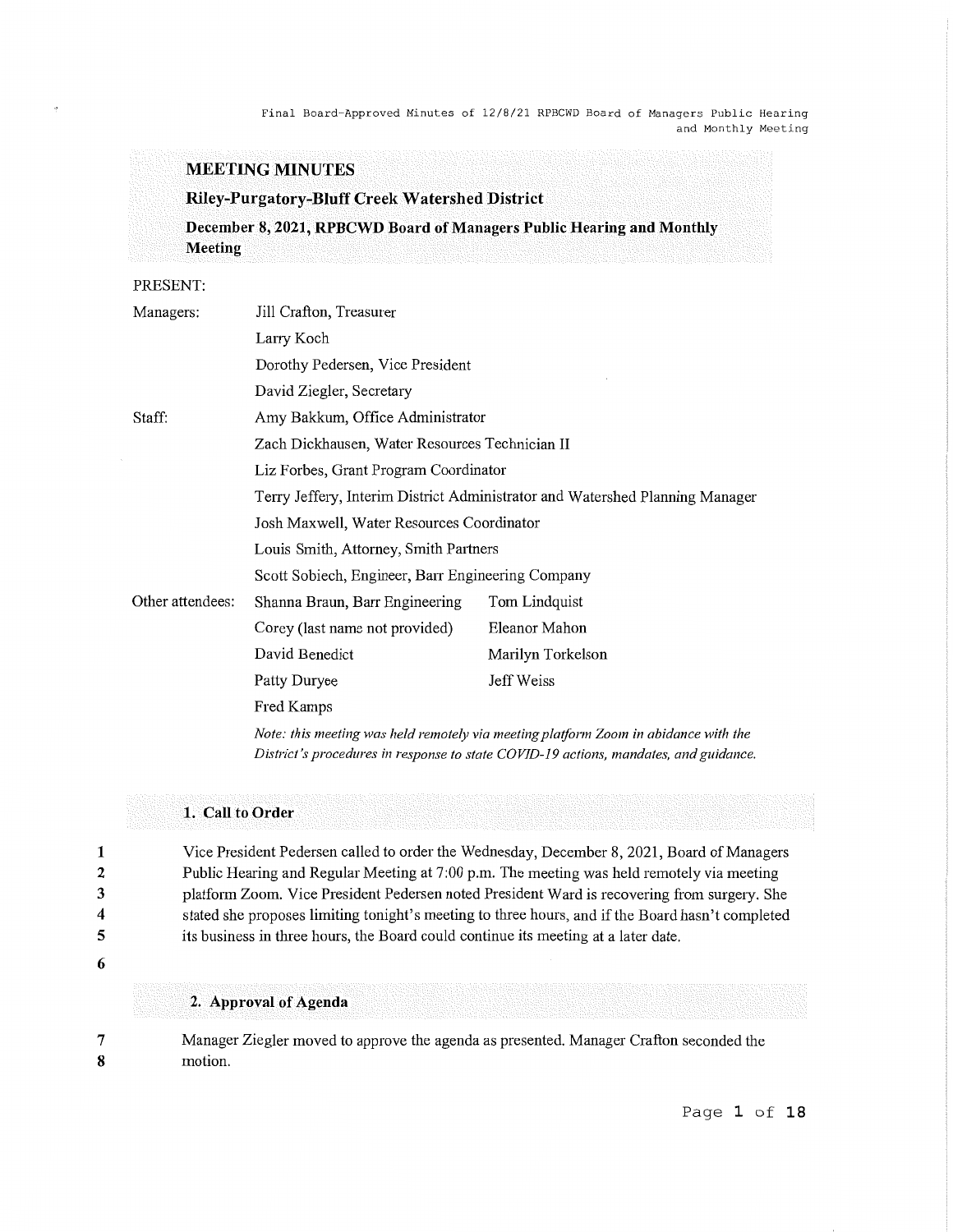#### **MEETING MINUTES**

#### **Riley-Purgatory-Bluff Creek Watershed District**

**December 8, 2021, RPBCWD Board of Managers Public Hearing and Monthly Meeting** 

PRESENT:

| Managers:        | Jill Crafton, Treasurer                                                      |                                                                                                                                                                                                                               |
|------------------|------------------------------------------------------------------------------|-------------------------------------------------------------------------------------------------------------------------------------------------------------------------------------------------------------------------------|
|                  | Larry Koch                                                                   |                                                                                                                                                                                                                               |
|                  | Dorothy Pedersen, Vice President                                             |                                                                                                                                                                                                                               |
|                  | David Ziegler, Secretary                                                     |                                                                                                                                                                                                                               |
| Staff:           | Amy Bakkum, Office Administrator                                             |                                                                                                                                                                                                                               |
|                  | Zach Dickhausen, Water Resources Technician II                               |                                                                                                                                                                                                                               |
|                  | Liz Forbes, Grant Program Coordinator                                        |                                                                                                                                                                                                                               |
|                  | Terry Jeffery, Interim District Administrator and Watershed Planning Manager |                                                                                                                                                                                                                               |
|                  | Josh Maxwell, Water Resources Coordinator                                    |                                                                                                                                                                                                                               |
|                  | Louis Smith, Attorney, Smith Partners                                        |                                                                                                                                                                                                                               |
|                  | Scott Sobiech, Engineer, Barr Engineering Company                            |                                                                                                                                                                                                                               |
| Other attendees: | Shanna Braun, Barr Engineering                                               | Tom Lindquist                                                                                                                                                                                                                 |
|                  | Corey (last name not provided)                                               | Eleanor Mahon                                                                                                                                                                                                                 |
|                  | David Benedict                                                               | Marilyn Torkelson                                                                                                                                                                                                             |
|                  | Patty Duryee                                                                 | Jeff Weiss                                                                                                                                                                                                                    |
|                  | Fred Kamps                                                                   |                                                                                                                                                                                                                               |
|                  |                                                                              | $M_{11}$ , the contribution of the set of the set of the continues of the contribution of the set of the set of the set of the set of the set of the set of the set of the set of the set of the set of the set of the set of |

*Note: this meeting was held remotely via meeting platform Zoom in abidance with the District's procedures in response to state COVID-19 actions, mandates, and guidance.* 

#### **1. Call to Order**

Vice President Pedersen called to order the Wednesday, December 8, 2021, Board of Managers Public Hearing and Regular Meeting at 7:00 p.m. The meeting was held remotely via meeting platform Zoom. Vice President Pedersen noted President Ward is recovering from surgery. She stated she proposes limiting tonight's meeting to three hours, and if the Board hasn't completed its business in three hours, the Board could continue its meeting at a later date.

**5 6** 

**2. Approval of Agenda** 

7 **8**  Manager Ziegler moved to approve the agenda as presented. Manager Crafton seconded the motion.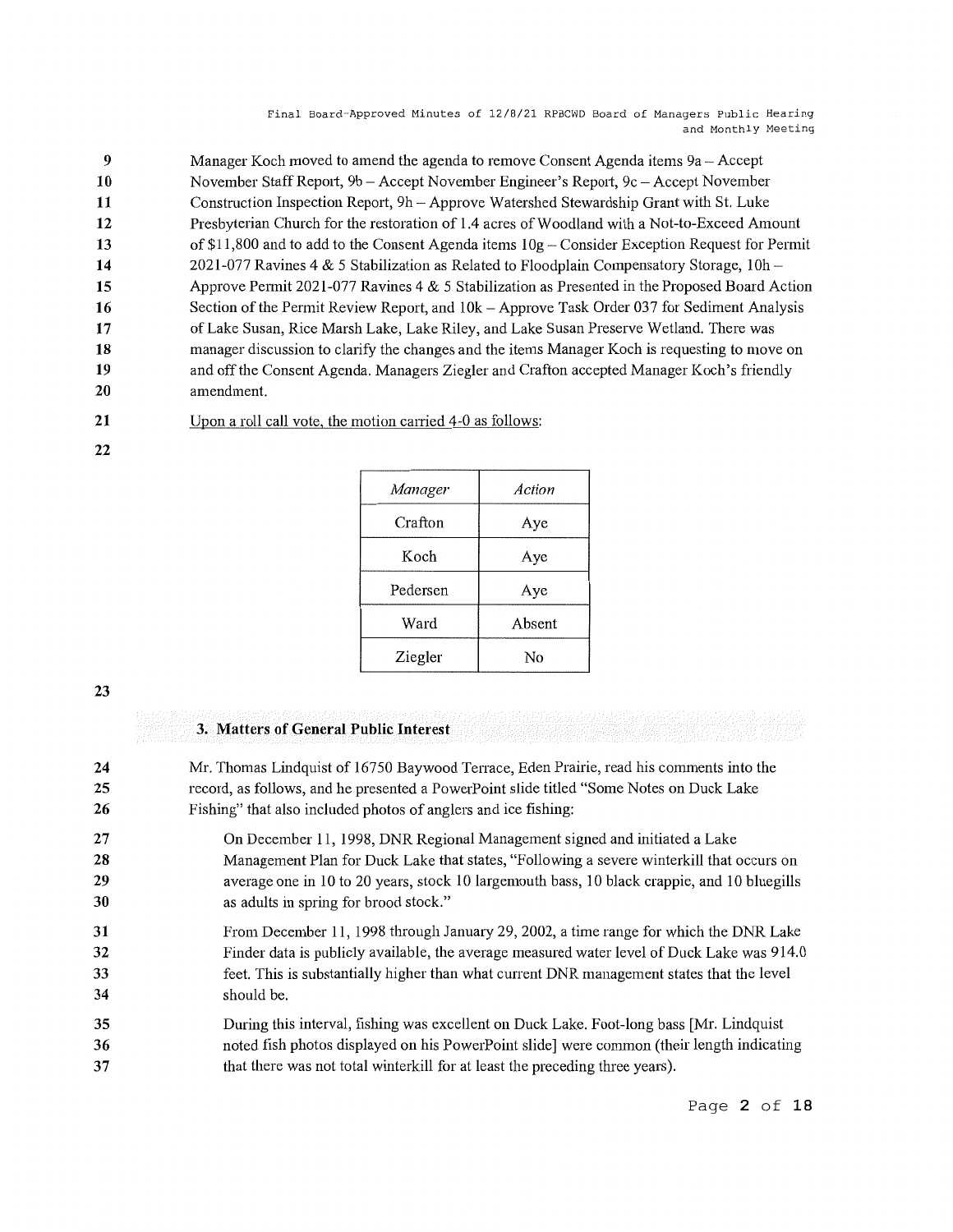| 9  | Manager Koch moved to amend the agenda to remove Consent Agenda items 9a – Accept                |
|----|--------------------------------------------------------------------------------------------------|
| 10 | November Staff Report, 9b - Accept November Engineer's Report, 9c - Accept November              |
| 11 | Construction Inspection Report, 9h - Approve Watershed Stewardship Grant with St. Luke           |
| 12 | Presbyterian Church for the restoration of 1.4 acres of Woodland with a Not-to-Exceed Amount     |
| 13 | of \$11,800 and to add to the Consent Agenda items $10g$ – Consider Exception Request for Permit |
| 14 | 2021-077 Ravines 4 & 5 Stabilization as Related to Floodplain Compensatory Storage, $10h -$      |
| 15 | Approve Permit 2021-077 Ravines 4 & 5 Stabilization as Presented in the Proposed Board Action    |
| 16 | Section of the Permit Review Report, and 10k - Approve Task Order 037 for Sediment Analysis      |
| 17 | of Lake Susan, Rice Marsh Lake, Lake Riley, and Lake Susan Preserve Wetland. There was           |
| 18 | manager discussion to clarify the changes and the items Manager Koch is requesting to move on    |
| 19 | and off the Consent Agenda. Managers Ziegler and Crafton accepted Manager Koch's friendly        |
| 20 | amendment.                                                                                       |

**21**  Upon a roll call vote, the motion carried 4-0 as follows:

| Manager  | Action |
|----------|--------|
| Crafton  | Aye    |
| Koch     | Aye    |
| Pedersen | Aye    |
| Ward     | Absent |
| Ziegler  | Nο     |

#### **23**

**22** 

#### **3. Matters of General Public Interest**

- **24 25 26**  Mr. Thomas Lindquist of 16750 Baywood Terrace, Eden Prairie, read his comments into the record, as follows, and he presented a PowerPoint slide titled "Some Notes on Duck Lake Fishing" that also included photos of anglers and ice fishing:
- **27 28 29 30**  On December 11, 1998, DNR Regional Management signed and initiated a Lake Management Plan for Duck Lake that states, "Following a severe winterkill that occurs on average one in 10 to 20 years, stock 10 largemouth bass, 10 black crappie, and 10 bluegills as adults in spring for brood stock."
- **31 32 33 34**  From December 11, 1998 through January 29, 2002, a time range for which the DNR Lake Finder data is publicly available, the average measured water level of Duck Lake was 914.0 feet. This is substantially higher than what current DNR management states that the level should be.
- **35 36 37**  During this interval, fishing was excellent on Duck Lake. Foot-long bass [Mr. Lindquist noted fish photos displayed on his PowerPoint slide] were common (their length indicating that there was not total winterkill for at least the preceding three years).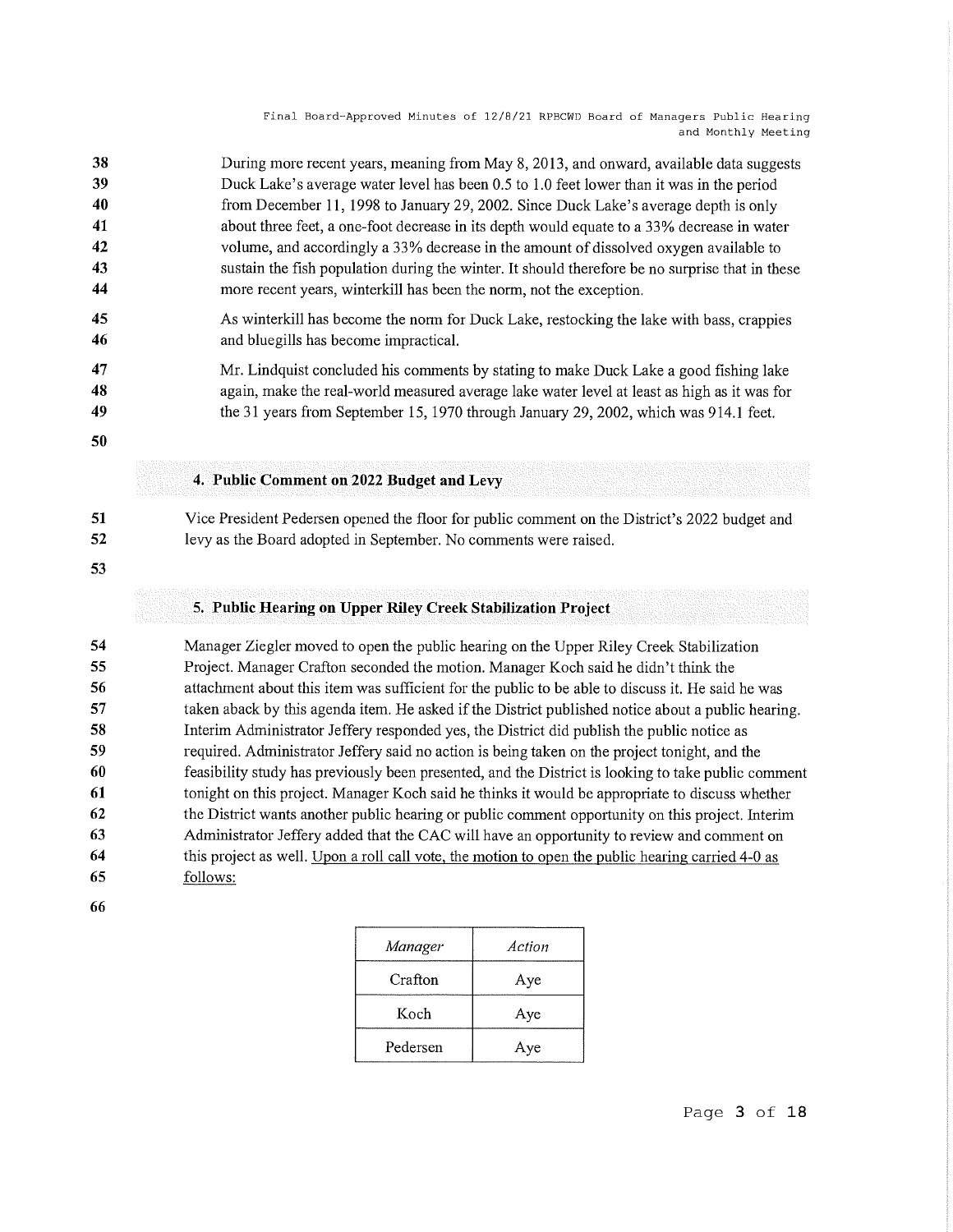| 38 | During more recent years, meaning from May 8, 2013, and onward, available data suggests         |
|----|-------------------------------------------------------------------------------------------------|
| 39 | Duck Lake's average water level has been 0.5 to 1.0 feet lower than it was in the period        |
| 40 | from December 11, 1998 to January 29, 2002. Since Duck Lake's average depth is only             |
| 41 | about three feet, a one-foot decrease in its depth would equate to a 33% decrease in water      |
| 42 | volume, and accordingly a 33% decrease in the amount of dissolved oxygen available to           |
| 43 | sustain the fish population during the winter. It should therefore be no surprise that in these |
| 44 | more recent years, winterkill has been the norm, not the exception.                             |
| 45 | As winterkill has become the norm for Duck Lake, restocking the lake with bass, crappies        |
| 46 | and bluegills has become impractical.                                                           |
| 47 | Mr. Lindquist concluded his comments by stating to make Duck Lake a good fishing lake           |
| 48 | again, make the real-world measured average lake water level at least as high as it was for     |
| 49 | the 31 years from September 15, 1970 through January 29, 2002, which was 914.1 feet.            |
| 50 |                                                                                                 |
|    | 4. Public Comment on 2022 Budget and Levy                                                       |

**51 52**  Vice President Pedersen opened the floor for public comment on the District's 2022 budget and levy as the Board adopted in September. No comments were raised.

**53** 

### **5. Public Hearing on Upper Riley Creek Stabilization Project**

**54 55 56 57 58 59 60 61 62 63 64 65**  Manager Ziegler moved to open the public hearing on the Upper Riley Creek Stabilization Project. Manager Crafton seconded the motion. Manager Koch said he didn't think the attachment about this item was sufficient for the public to be able to discuss it. He said he was taken aback by this agenda item. He asked if the District published notice about a public hearing. Interim Administrator Jeffery responded yes, the District did publish the public notice as required. Administrator Jeffery said no action is being taken on the project tonight, and the feasibility study has previously been presented, and the District is looking to take public comment tonight on this project. Manager Koch said he thinks it would be appropriate to discuss whether the District wants another public hearing or public comment opportunity on this project. Interim Administrator Jeffery added that the CAC will have an opportunity to review and comment on this project as well. Upon a roll call vote, the motion to open the public hearing carried 4-0 as follows:

**66** 

| Manager  | Action |
|----------|--------|
| Crafton  | Aye    |
| Koch     | Aye    |
| Pedersen | Aye    |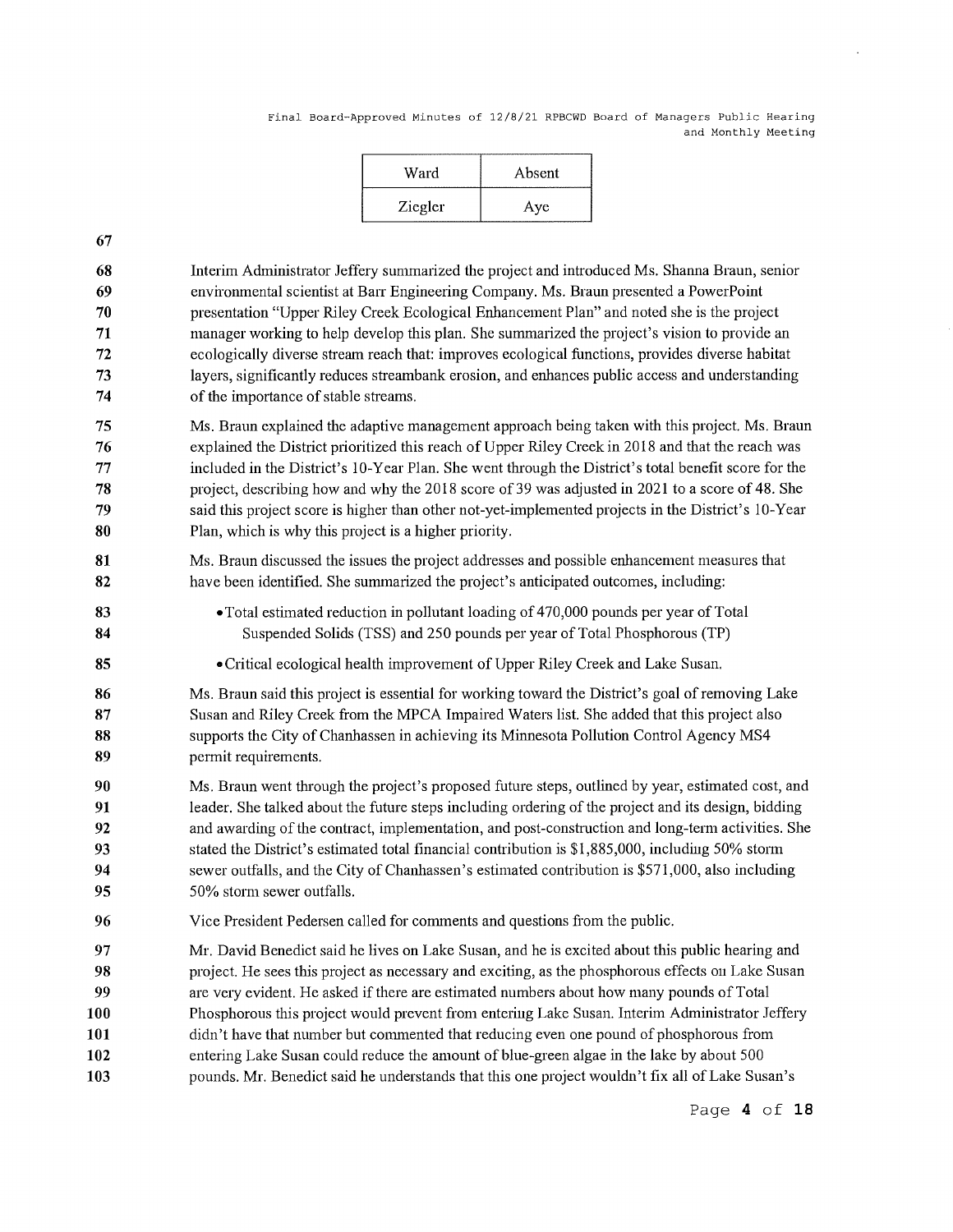| Ward    | Absent |
|---------|--------|
| Ziegler | Aye    |

**67** 

**83 84** 

**85** 

**68 69 70 71 72 73 74**  Interim Administrator Jeffery summaiized the project and introduced Ms. Shanna Braun, senior environmental scientist at Barr Engineering Company. Ms. Braun presented a PowerPoint presentation "Upper Riley Creek Ecological Enhancement Plan" and noted she is the project manager working to help develop this plan. She summarized the project's vision to provide an ecologically diverse stream reach that: improves ecological functions, provides diverse habitat layers, significantly reduces streambank erosion, and enhances public access and understanding of the importance of stable streams.

**75 76 77 78 79 80**  Ms. Braun explained the adaptive management approach being taken with this project. Ms. Braun explained the District prioritized this reach of Upper Riley Creek in 2018 and that the reach was included in the District's 10-Year Plan. She went through the District's total benefit score for the project, describing how and why the 2018 score of39 was adjusted in 2021 to a score of 48. She said this project score is higher than other not-yet-implemented projects in the District's 10-Year Plan, which is why this project is a higher priority.

**81 82**  Ms. Braun discussed the issues the project addresses and possible enhancement measures that have been identified. She summarized the project's anticipated outcomes, including:

> • Total estimated reduction in pollutant loading of 470,000 pounds per year of Total Suspended Solids (TSS) and 250 pounds per year of Total Phosphorous (TP)

•Critical ecological health improvement of Upper Riley Creek and Lake Susan.

**86 87 88 89**  Ms. Braun said this project is essential for working toward the District's goal of removing Lake Susan and Riley Creek from the MPCA Impaired Waters list. She added that this project also supports the City of Chanhassen in achieving its Minnesota Pollution Control Agency MS4 permit requirements.

**90 91 92 93 94 95**  Ms. Braun went through the project's proposed future steps, outlined by year, estimated cost, and leader. She talked about the future steps including ordering of the project and its design, bidding and awarding of the contract, implementation, and post-construction and long-term activities. She stated the District's estimated total financial contribution is \$1,885,000, including 50% storm sewer outfalls, and the City of Chanhassen's estimated contribution is \$571,000, also including 50% storm sewer outfalls.

**96**  Vice President Pedersen called for comments and questions from the public.

**97 98 99 100 101 102 103**  Mr. David Benedict said he lives on Lake Susan, and he is excited about this public hearing and project. He sees this project as necessaiy and exciting, as the phosphorous effects on Lake Susan are very evident. He asked if there are estimated numbers about how many pounds of Total Phosphorous this project would prevent from entering Lake Susan. Interim Administrator Jeffery didn't have that number but commented that reducing even one pound of phosphorous from entering Lake Susan could reduce the amount of blue-green algae in the lake by about 500 pounds. Mr. Benedict said he understands that this one project wouldn't fix all of Lake Susan's

Page **4 of 18**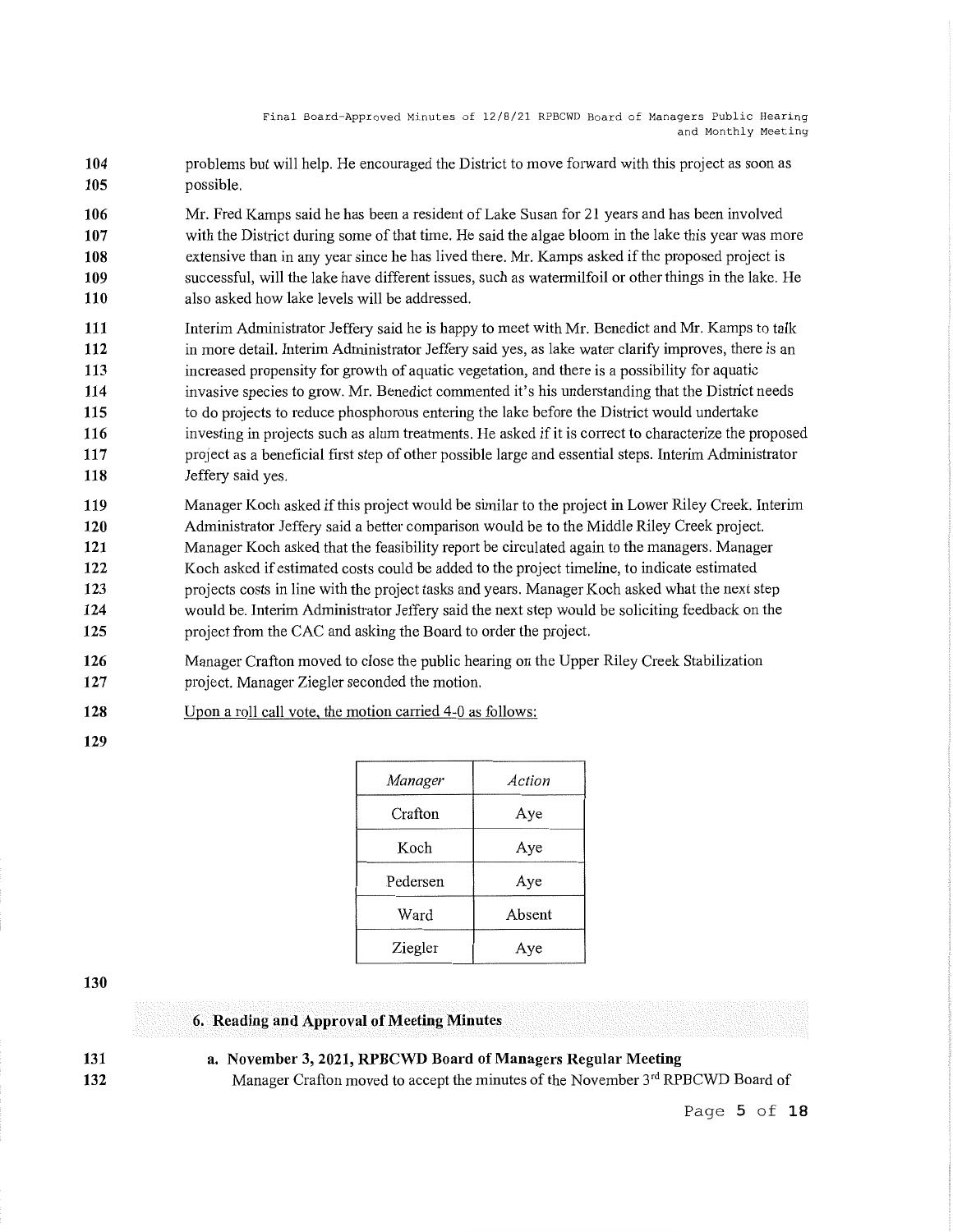- **104 105**  problems but will help. He encouraged the District to move forward with this project as soon as possible.
- **106 107 108 109 110**  Mr. Fred Kamps said he has been a resident of Lake Susan for 21 years and has been involved with the District during some of that time. He said the algae bloom in the lake this year was more extensive than in any year since he has lived there. Mr. Kamps asked if the proposed project is successful, will the lake have different issues, such as watermilfoil or other things in the lake. He also asked how lake levels will be addressed.
- **111 112 113 114 115 116 117 118**  Interim Administrator Jeffery said he is happy to meet with Mr. Benedict and Mr. Kamps to talk in more detail. Interim Administrator Jeffery said yes, as lake water clarify improves, there is an increased propensity for growth of aquatic vegetation, and there is a possibility for aquatic invasive species to grow. Mr. Benedict commented it's his understanding that the District needs to do projects to reduce phosphorous entering the lake before the District would undertake investing in projects such as alum treatments. He asked if it is correct to characterize the proposed project as a beneficial first step of other possible large and essential steps. Interim Administrator Jeffery said yes.
- **119 120 121 122 123 124 125**  Manager Koch asked if this project would be similar to the project in Lower Riley Creek. Interim Administrator Jeffery said a better comparison would be to the Middle Riley Creek project. Manager Koch asked that the feasibility report be circulated again to the managers. Manager Koch asked if estimated costs could be added to the project timeline, to indicate estimated projects costs in line with the project tasks and years. Manager Koch asked what the next step would be. Interim Administrator Jeffery said the next step would be soliciting feedback on the project from the CAC and asking the Board to order the project.
- **126 127**  Manager Crafton moved to close the public hearing on the Upper Riley Creek Stabilization project. Manager Ziegler seconded the motion.
- **128**  Upon a roll call vote, the motion carried 4-0 as follows:
- **129**

| Manager  | Action |
|----------|--------|
| Crafton  | Aye    |
| Koch     | Aye    |
| Pedersen | Aye    |
| Ward     | Absent |
| Ziegler  | Ave    |

**130** 

## **6. Reading and Approval of Meeting Minutes**

**131 132**  **a. November 3, 2021, RPBCWD Board of Managers Regular Meeting**  Manager Crafton moved to accept the minutes of the November 3rd RPBCWD Board of

Page **5 of 18**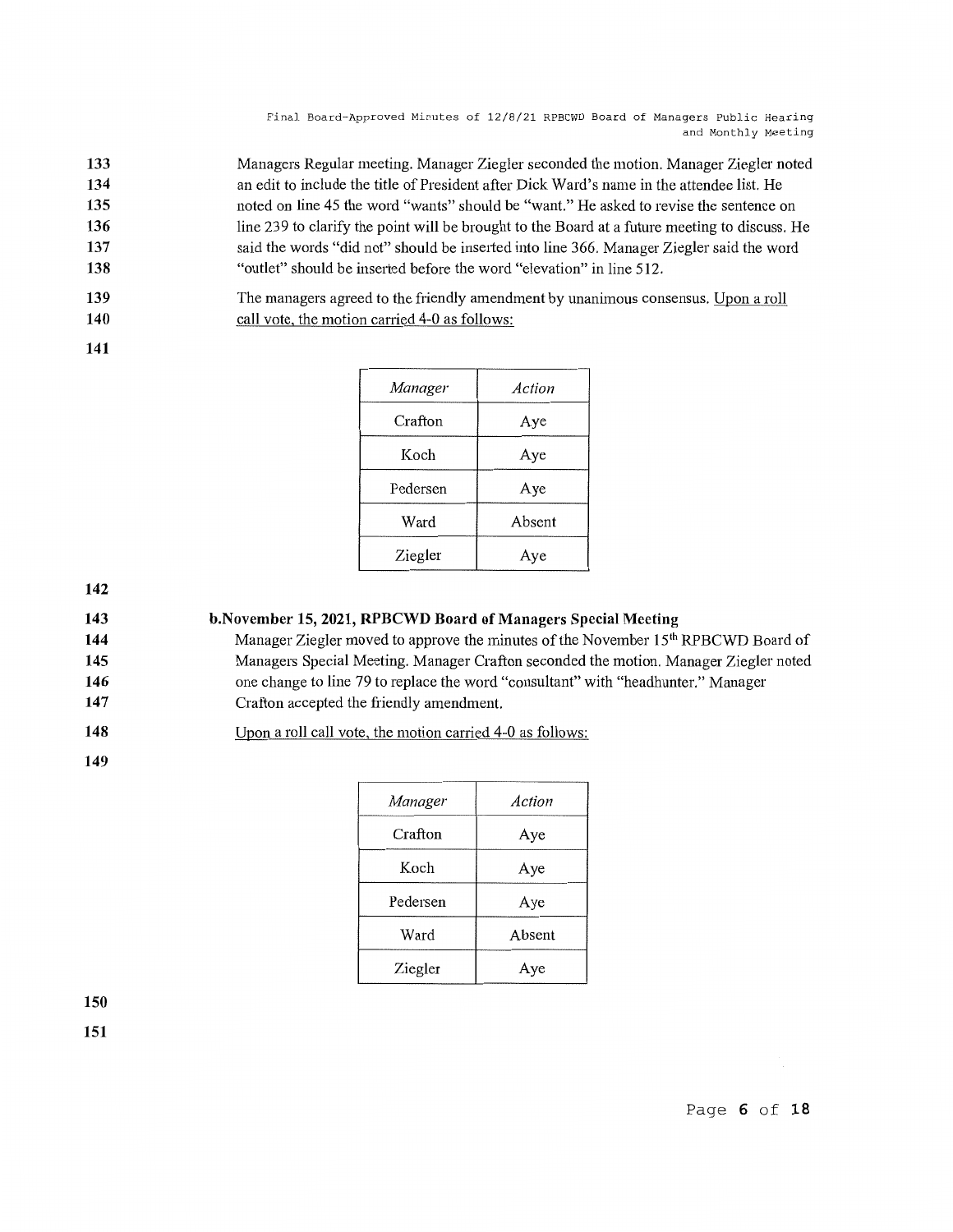**133 134 135 136 137 138**  Managers Regular meeting. Manager Ziegler seconded the motion. Manager Ziegler noted an edit to include the title of President after Dick Ward's name in the attendee list. He noted on line 45 the word "wants" should be "want." He asked to revise the sentence on line 239 to clarify the point will be brought to the Board at a future meeting to discuss. He said the words "did not" should be inserted into line 366. Manager Ziegler said the word "outlet" should be inserted before the word "elevation" in line 512.

**139 140**  The managers agreed to the friendly amendment by unanimous consensus. Upon a roll call vote, the motion carried 4-0 as follows:

**141** 

| Manager  | Action |
|----------|--------|
| Crafton  | Aye    |
| Koch     | Aye    |
| Pedersen | Aye    |
| Ward     | Absent |
| Ziegler  | Aye    |

**142** 

**143 b.November 15, 2021, RPBCWD Board of Managers Special Meeting** 

**144 145 146 147**  Manager Ziegler moved to approve the minutes of the November 15<sup>th</sup> RPBCWD Board of Managers Special Meeting. Manager Crafton seconded the motion. Manager Ziegler noted one change to line 79 to replace the word "consultant" with "headhunter." Manager Crafton accepted the friendly amendment.

**148**  Upon a roll call vote, the motion carried 4-0 as follows:

**149** 

| Manager  | Action |
|----------|--------|
| Crafton  | Aye    |
| Koch     | Aye    |
| Pedersen | Aye    |
| Ward     | Absent |
| Ziegler  | Aye    |

**150** 

**151**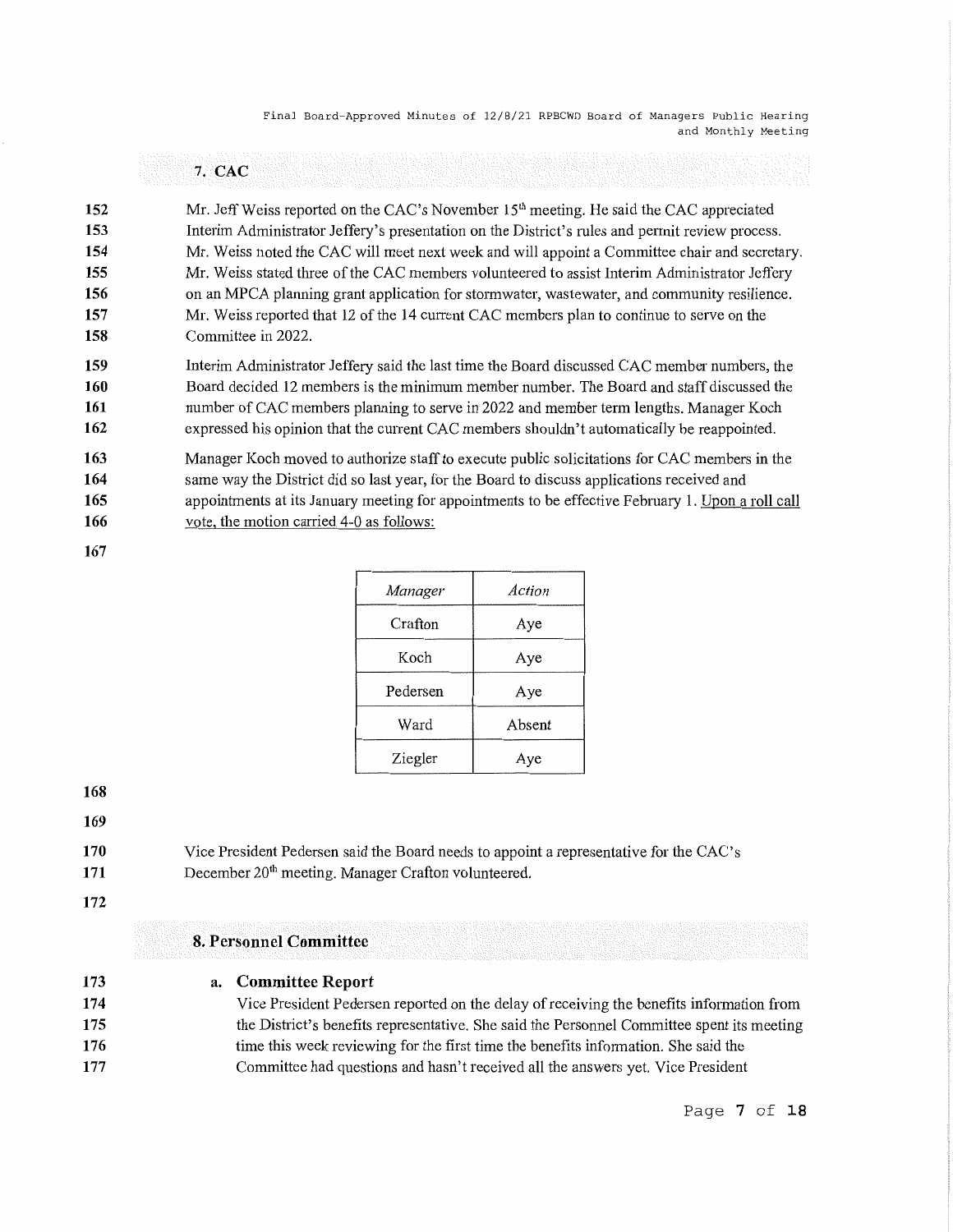|     | 7. CAC                                                                                              |
|-----|-----------------------------------------------------------------------------------------------------|
| 152 | Mr. Jeff Weiss reported on the CAC's November 15 <sup>th</sup> meeting. He said the CAC appreciated |
| 153 | Interim Administrator Jeffery's presentation on the District's rules and permit review process.     |
| 154 | Mr. Weiss noted the CAC will meet next week and will appoint a Committee chair and secretary.       |
| 155 | Mr. Weiss stated three of the CAC members volunteered to assist Interim Administrator Jeffery       |
| 156 | on an MPCA planning grant application for stormwater, wastewater, and community resilience.         |
| 157 | Mr. Weiss reported that 12 of the 14 current CAC members plan to continue to serve on the           |
| 158 | Committee in 2022.                                                                                  |
| 159 | Interim Administrator Jeffery said the last time the Board discussed CAC member numbers, the        |
| 160 | Board decided 12 members is the minimum member number. The Board and staff discussed the            |
| 161 | number of CAC members planning to serve in 2022 and member term lengths. Manager Koch               |
| 162 | expressed his opinion that the current CAC members shouldn't automatically be reappointed.          |
| 163 | Manager Koch moved to authorize staff to execute public solicitations for CAC members in the        |
| 164 | same way the District did so last year, for the Board to discuss applications received and          |
| 165 | appointments at its January meeting for appointments to be effective February 1. Upon a roll call   |
| 166 | vote, the motion carried 4-0 as follows:                                                            |

**167** 

| Manager  | Action |
|----------|--------|
| Crafton  | Aye    |
| Koch     | Aye    |
| Pedersen | Aye    |
| Ward     | Absent |
| Ziegler  | Aye    |

**168** 

**169** 

**170 171**  Vice President Pedersen said the Board needs to appoint a representative for the CAC's December 20<sup>th</sup> meeting. Manager Crafton volunteered.

**172** 

## **8. Personnel Committee**

**173** 

#### **a. Committee Report**

**174 175 176 177**  Vice President Pedersen reported on the delay of receiving the benefits information from the District's benefits representative. She said the Personnel Committee spent its meeting time this week reviewing for the first time the benefits information. She said the Committee had questions and hasn't received all the answers yet. Vice President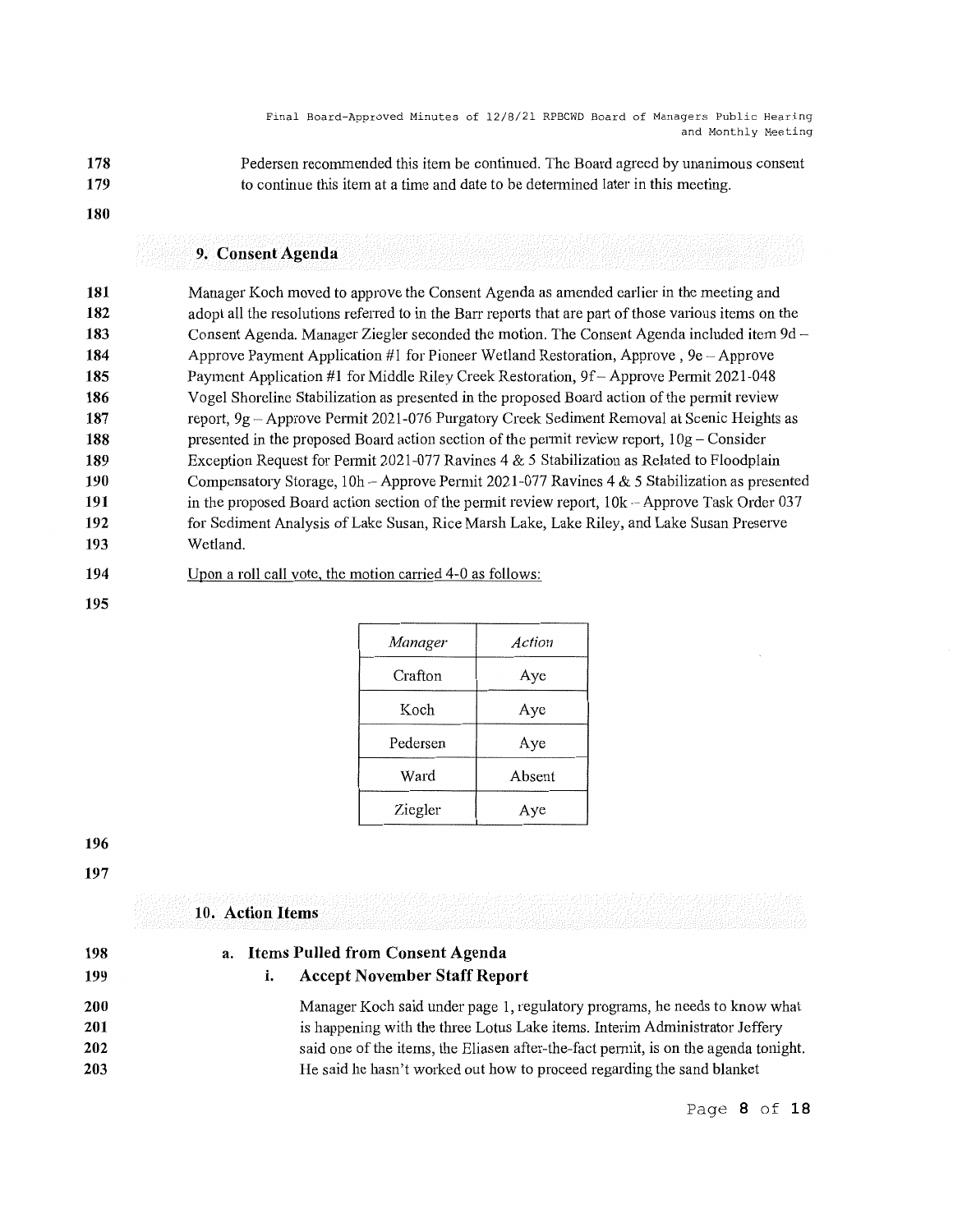- **178 179**  Pedersen recommended this item be continued. The Board agreed by unanimous consent to continue this item at a time and date to be determined later in this meeting.
- **180**

### **9. Consent Agenda**

**181 182 183 184 185 186 187 188 189 190 191 192 193**  Manager Koch moved to approve the Consent Agenda as amended earlier in the meeting and adopt all the resolutions referred to in the Barr reports that are part of those various items on the Consent Agenda. Manager Ziegler seconded the motion. The Consent Agenda included item 9d Approve Payment Application  $#1$  for Pioneer Wetland Restoration, Approve,  $9e -$ Approve Payment Application #1 for Middle Riley Creek Restoration, 9f - Approve Permit 2021-048 Vogel Shoreline Stabilization as presented in the proposed Board action of the permit review report, 9g Approve Permit 2021-076 Purgatory Creek Sediment Removal at Scenic Heights as presented in the proposed Board action section of the permit review report,  $10g -$ Consider Exception Request for Permit 2021-077 Ravines  $4 \& 5$  Stabilization as Related to Floodplain Compensatory Storage,  $10h -$  Approve Permit 2021-077 Ravines 4 & 5 Stabilization as presented in the proposed Board action section of the permit review report,  $10k - A$ pprove Task Order 037 for Sediment Analysis of Lake Susan, Rice Marsh Lake, Lake Riley, and Lake Susan Preserve Wetland.

#### **194**  Upon a roll call vote, the motion carried 4-0 as follows:

**195** 

| Manager  | Action |
|----------|--------|
| Crafton  | Aye    |
| Koch     | Aye    |
| Pedersen | Aye    |
| Ward     | Absent |
| Ziegler  | Aye    |

**196** 

**197** 

#### **10. Action Items**

| 198 | a. Items Pulled from Consent Agenda |                                                                                     |
|-----|-------------------------------------|-------------------------------------------------------------------------------------|
| 199 | I.                                  | <b>Accept November Staff Report</b>                                                 |
| 200 |                                     | Manager Koch said under page 1, regulatory programs, he needs to know what          |
| 201 |                                     | is happening with the three Lotus Lake items. Interim Administrator Jeffery         |
| 202 |                                     | said one of the items, the Eliasen after-the-fact permit, is on the agenda tonight. |
| 203 |                                     | He said he hasn't worked out how to proceed regarding the sand blanket              |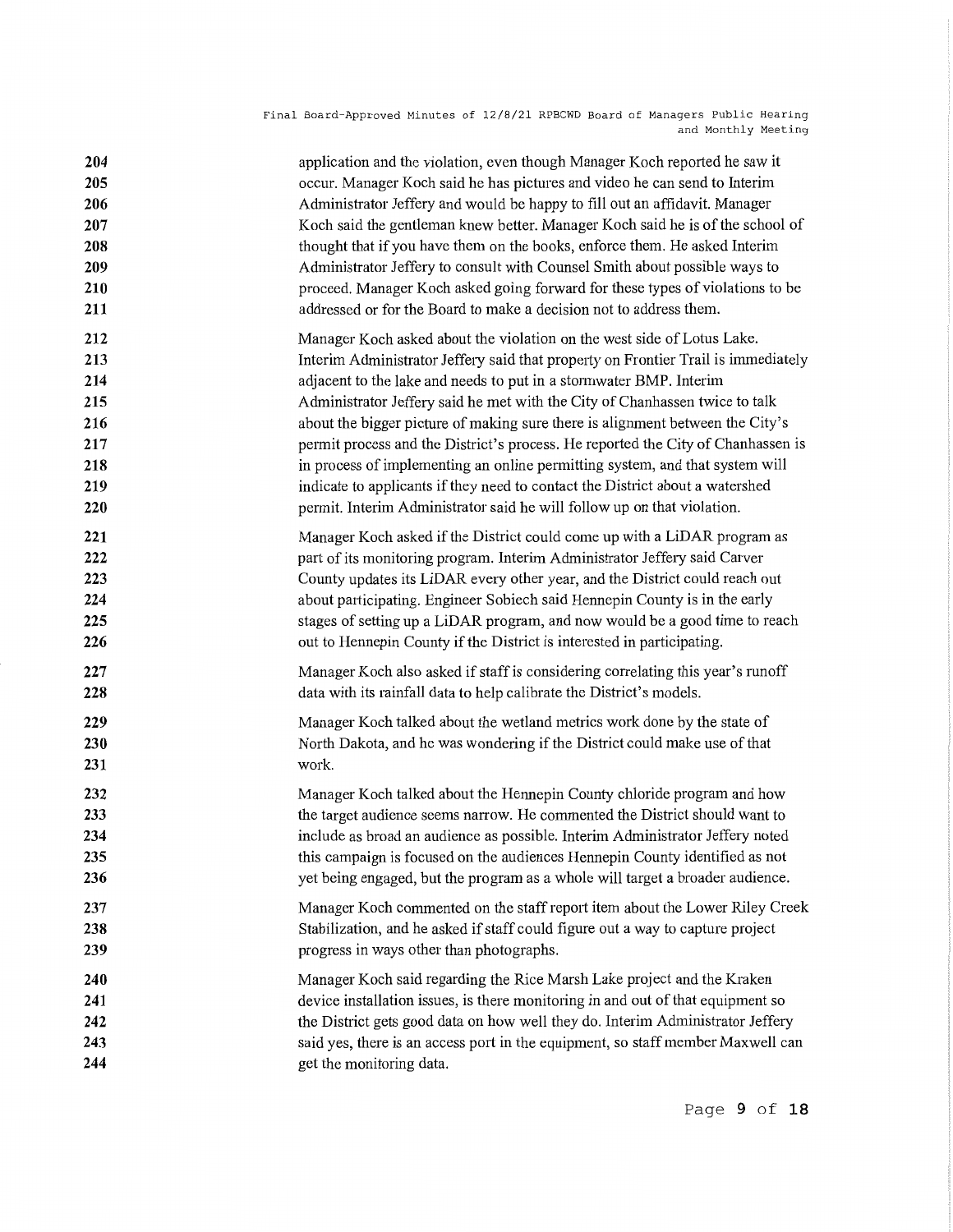| 204 | application and the violation, even though Manager Koch reported he saw it        |
|-----|-----------------------------------------------------------------------------------|
| 205 | occur. Manager Koch said he has pictures and video he can send to Interim         |
| 206 | Administrator Jeffery and would be happy to fill out an affidavit. Manager        |
| 207 | Koch said the gentleman knew better. Manager Koch said he is of the school of     |
| 208 | thought that if you have them on the books, enforce them. He asked Interim        |
| 209 | Administrator Jeffery to consult with Counsel Smith about possible ways to        |
| 210 | proceed. Manager Koch asked going forward for these types of violations to be     |
| 211 | addressed or for the Board to make a decision not to address them.                |
| 212 | Manager Koch asked about the violation on the west side of Lotus Lake.            |
| 213 | Interim Administrator Jeffery said that property on Frontier Trail is immediately |
| 214 | adjacent to the lake and needs to put in a stormwater BMP. Interim                |
| 215 | Administrator Jeffery said he met with the City of Chanhassen twice to talk       |
| 216 | about the bigger picture of making sure there is alignment between the City's     |
| 217 | permit process and the District's process. He reported the City of Chanhassen is  |
| 218 | in process of implementing an online permitting system, and that system will      |
| 219 | indicate to applicants if they need to contact the District about a watershed     |
| 220 | permit. Interim Administrator said he will follow up on that violation.           |
| 221 | Manager Koch asked if the District could come up with a LiDAR program as          |
| 222 | part of its monitoring program. Interim Administrator Jeffery said Carver         |
| 223 | County updates its LiDAR every other year, and the District could reach out       |
| 224 | about participating. Engineer Sobiech said Hennepin County is in the early        |
| 225 | stages of setting up a LiDAR program, and now would be a good time to reach       |
| 226 | out to Hennepin County if the District is interested in participating.            |
| 227 | Manager Koch also asked if staff is considering correlating this year's runoff    |
| 228 | data with its rainfall data to help calibrate the District's models.              |
| 229 | Manager Koch talked about the wetland metrics work done by the state of           |
| 230 | North Dakota, and he was wondering if the District could make use of that         |
| 231 | work.                                                                             |
| 232 | Manager Koch talked about the Hennepin County chloride program and how            |
| 233 | the target audience seems narrow. He commented the District should want to        |
| 234 | include as broad an audience as possible. Interim Administrator Jeffery noted     |
| 235 | this campaign is focused on the audiences Hennepin County identified as not       |
| 236 | yet being engaged, but the program as a whole will target a broader audience.     |
| 237 | Manager Koch commented on the staff report item about the Lower Riley Creek       |
| 238 | Stabilization, and he asked if staff could figure out a way to capture project    |
| 239 | progress in ways other than photographs.                                          |
| 240 | Manager Koch said regarding the Rice Marsh Lake project and the Kraken            |
| 241 | device installation issues, is there monitoring in and out of that equipment so   |
| 242 | the District gets good data on how well they do. Interim Administrator Jeffery    |
| 243 | said yes, there is an access port in the equipment, so staff member Maxwell can   |
| 244 | get the monitoring data.                                                          |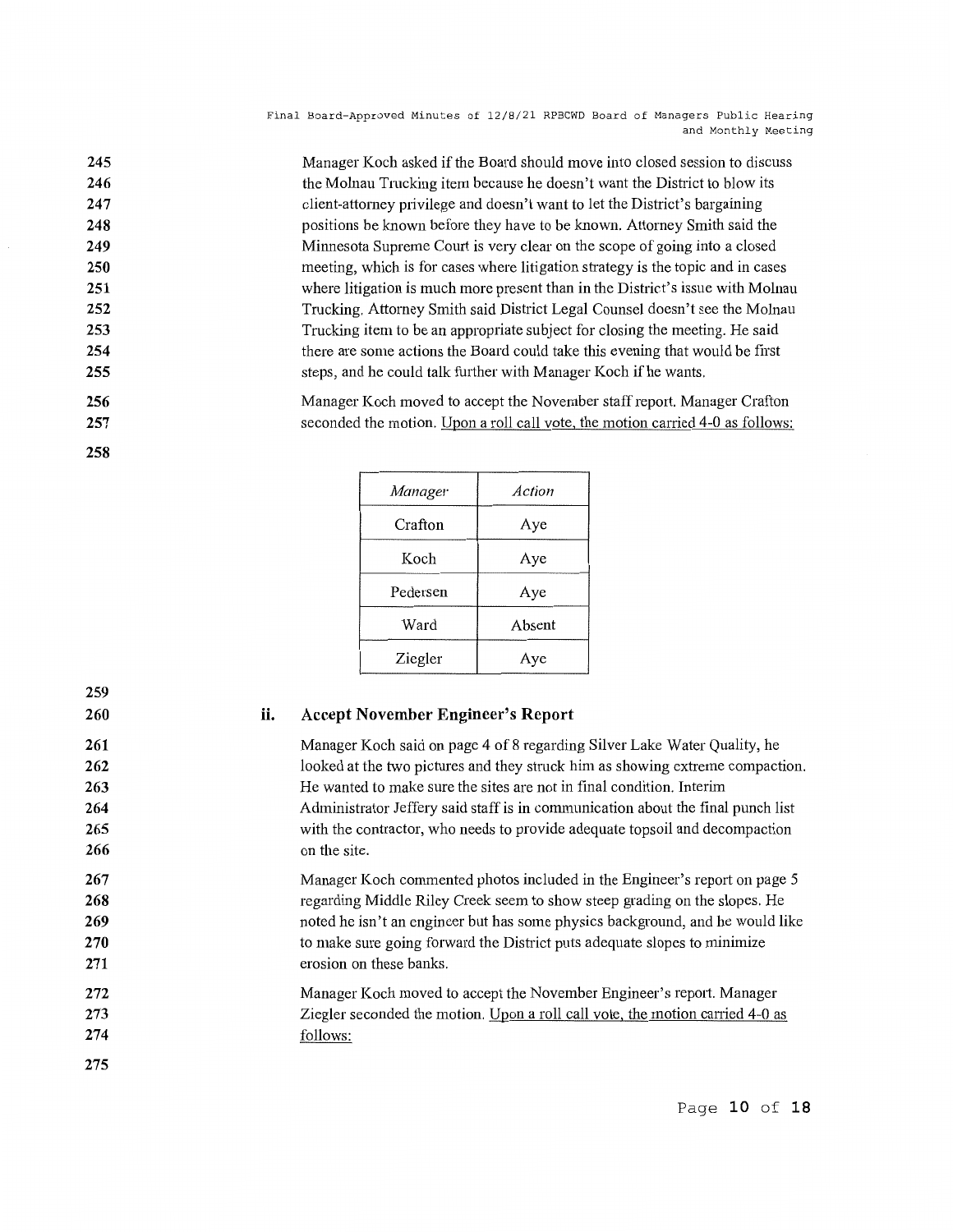| 245 | Manager Koch asked if the Board should move into closed session to discuss      |
|-----|---------------------------------------------------------------------------------|
| 246 | the Molnau Trucking item because he doesn't want the District to blow its       |
| 247 | client-attorney privilege and doesn't want to let the District's bargaining     |
| 248 | positions be known before they have to be known. Attorney Smith said the        |
| 249 | Minnesota Supreme Court is very clear on the scope of going into a closed       |
| 250 | meeting, which is for cases where litigation strategy is the topic and in cases |
| 251 | where litigation is much more present than in the District's issue with Molnau  |
| 252 | Trucking. Attorney Smith said District Legal Counsel doesn't see the Molnau     |
| 253 | Trucking item to be an appropriate subject for closing the meeting. He said     |
| 254 | there are some actions the Board could take this evening that would be first    |
| 255 | steps, and he could talk further with Manager Koch if he wants.                 |
| 256 | Manager Koch moved to accept the November staff report. Manager Crafton         |
| 257 | seconded the motion. Upon a roll call vote, the motion carried 4-0 as follows:  |
|     |                                                                                 |

| Manager  | Action |
|----------|--------|
| Crafton  | Aye    |
| Koch     | Aye    |
| Pedersen | Aye    |
| Ward     | Absent |
| Ziegler  | Aye    |

### **259 260**

**258** 

#### **ii. Accept November Engineer's Report**

Manager Koch said on page 4 of 8 regarding Silver Lake Water Quality, he looked at the two pictures and they struck him as showing extreme compaction. He wanted to make sure the sites are not in final condition. Interim Administrator Jeffery said staff is in communication about the final punch list with the contractor, who needs to provide adequate topsoil and decompaction on the site.

Manager Koch commented photos included in the Engineer's report on page 5 regarding Middle Riley Creek seem to show steep grading on the slopes. He noted he isn't an engineer but has some physics background, and he would like to make sure going forward the District puts adequate slopes to minimize erosion on these banks.

Manager Koch moved to accept the November Engineer's report. Manager Ziegler seconded the motion. Upon a roll call vote, the motion carried 4-0 as follows:

**274 275** 

Page **10 of 18**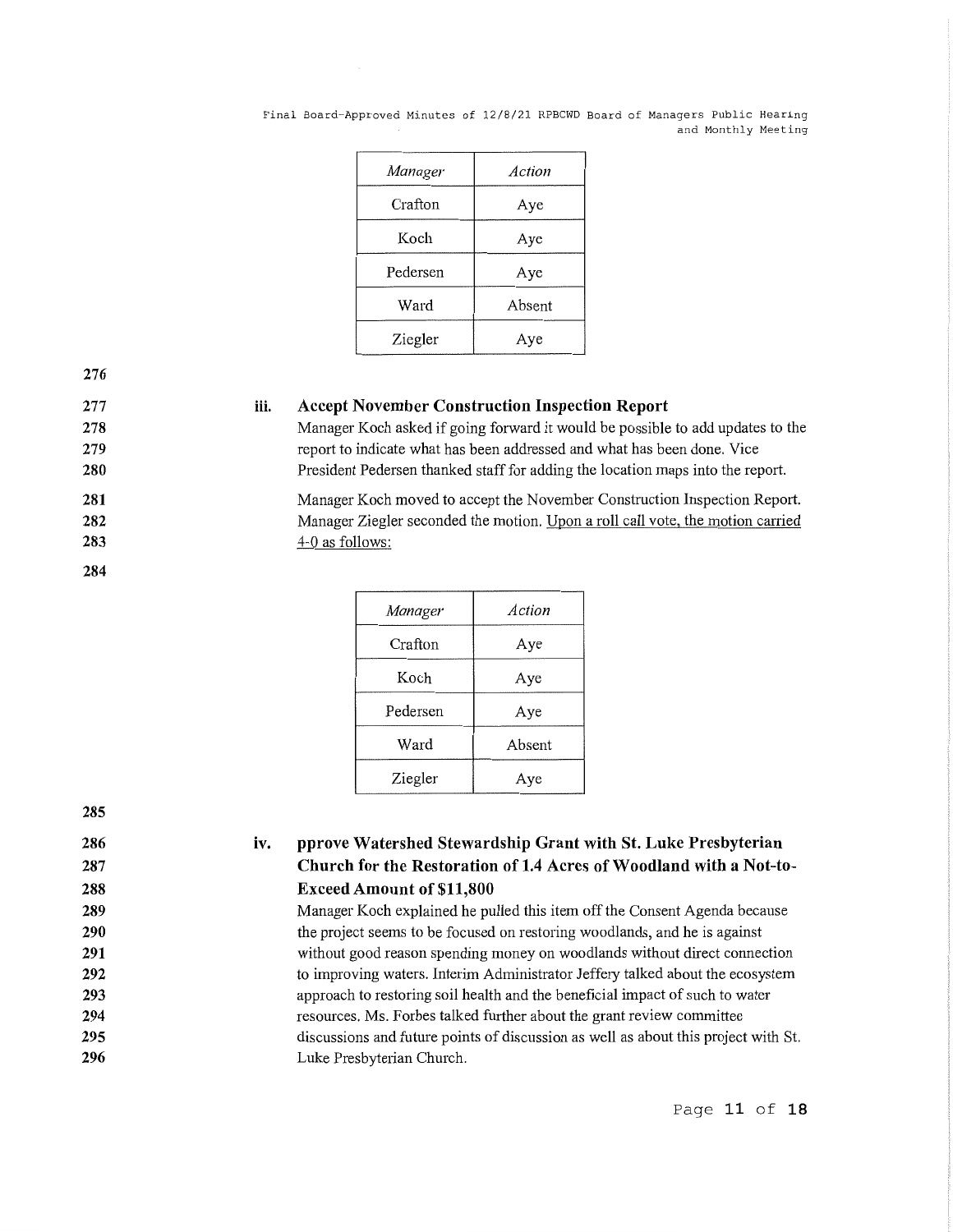| Manager  | Action |
|----------|--------|
| Crafton  | Aye    |
| Koch     | Aye    |
| Pedersen | Aye    |
| Ward     | Absent |
| Ziegler  | Aye    |

**276 277** 

**iii. Accept November Construction Inspection Report** 

> Manager Koch asked if going forward it would be possible to add updates to the report to indicate what has been addressed and what has been done. Vice President Pedersen thanked staff for adding the location maps into the report.

Manager Koch moved to accept the November Construction Inspection Report. Manager Ziegler seconded the motion. Upon a roll call vote, the motion carried 4-0 as follows:

| Manager  | Action |
|----------|--------|
| Crafton  | Aye    |
| Koch     | Aye    |
| Pedersen | Aye    |
| Ward     | Absent |
| Ziegler  | Ave    |

| 285 |  |
|-----|--|
| 286 |  |
| 287 |  |
| 288 |  |
| 289 |  |
| 290 |  |
| 291 |  |
| 292 |  |
| 293 |  |
| 294 |  |
| 295 |  |
| 296 |  |

#### **iv. pprove Watershed Stewardship Grant with St. Luke Presbyterian Church for the Restoration of 1.4 Acres of Woodland with a Not-to-Exceed Amount of \$11,800**

Manager Koch explained he pulled this item off the Consent Agenda because the project seems to be focused on restoring woodlands, and he is against without good reason spending money on woodlands without direct connection to improving waters. Interim Administrator Jeffery talked about the ecosystem approach to restoring soil health and the beneficial impact of such to water resources. Ms. Forbes talked further about the grant review committee discussions and future points of discussion as well as about this project with St. Luke Presbyterian Church.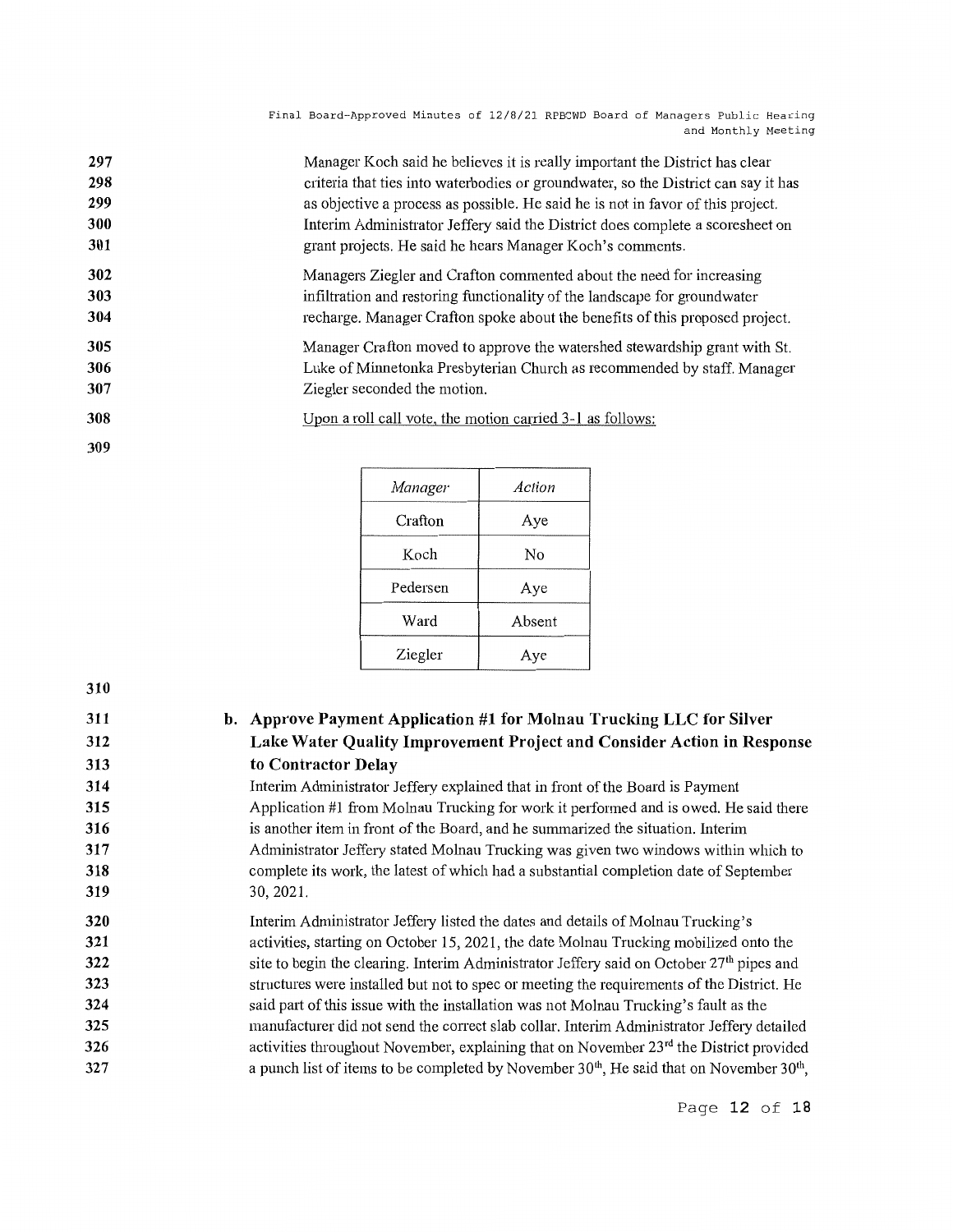| 297        | Manager Koch said he believes it is really important the District has clear        |
|------------|------------------------------------------------------------------------------------|
| 298        | criteria that ties into waterbodies or groundwater, so the District can say it has |
| 299        | as objective a process as possible. He said he is not in favor of this project.    |
| 300        | Interim Administrator Jeffery said the District does complete a scoresheet on      |
| 301        | grant projects. He said he hears Manager Koch's comments.                          |
| 302        | Managers Ziegler and Crafton commented about the need for increasing               |
| 303        | infiltration and restoring functionality of the landscape for groundwater          |
| 304        | recharge. Manager Crafton spoke about the benefits of this proposed project.       |
| 305        | Manager Crafton moved to approve the watershed stewardship grant with St.          |
| 306        | Luke of Minnetonka Presbyterian Church as recommended by staff. Manager            |
| 307        | Ziegler seconded the motion.                                                       |
| 308<br>309 | Upon a roll call vote, the motion carried 3-1 as follows:                          |

| Action |
|--------|
| Aye    |
| No     |
| Aye    |
| Absent |
| Aye    |
|        |

# **310**

| 311 | b. Approve Payment Application #1 for Molnau Trucking LLC for Silver                                 |
|-----|------------------------------------------------------------------------------------------------------|
| 312 | Lake Water Quality Improvement Project and Consider Action in Response                               |
| 313 | to Contractor Delay                                                                                  |
| 314 | Interim Administrator Jeffery explained that in front of the Board is Payment                        |
| 315 | Application #1 from Molnau Trucking for work it performed and is owed. He said there                 |
| 316 | is another item in front of the Board, and he summarized the situation. Interim                      |
| 317 | Administrator Jeffery stated Molnau Trucking was given two windows within which to                   |
| 318 | complete its work, the latest of which had a substantial completion date of September                |
| 319 | 30, 2021.                                                                                            |
| 320 | Interim Administrator Jeffery listed the dates and details of Molnau Trucking's                      |
| 321 | activities, starting on October 15, 2021, the date Molnau Trucking mobilized onto the                |
| 322 | site to begin the clearing. Interim Administrator Jeffery said on October 27 <sup>th</sup> pipes and |
| 323 | structures were installed but not to spec or meeting the requirements of the District. He            |
| 324 | said part of this issue with the installation was not Molnau Trucking's fault as the                 |
| 325 | manufacturer did not send the correct slab collar. Interim Administrator Jeffery detailed            |
| 326 | activities throughout November, explaining that on November $23rd$ the District provided             |
| 327 | a punch list of items to be completed by November $30th$ , He said that on November $30th$ ,         |

Page **12 of 18**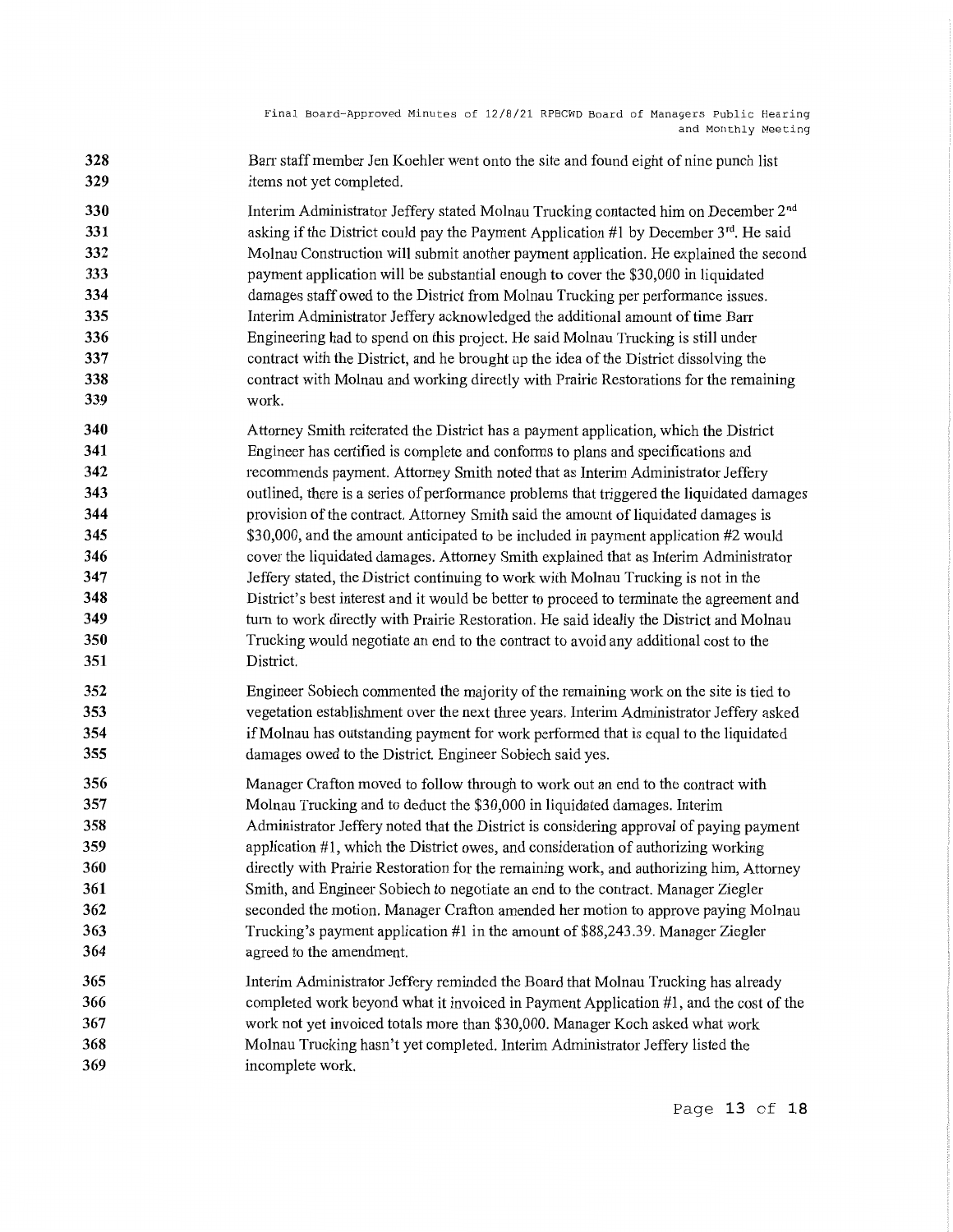**328 329**  Barr staff member Jen Koehler went onto the site and found eight of nine punch list items not yet completed.

**330 331 332 333 334 335 336 337 338 339**  Interim Administrator Jeffery stated Molnau Trncking contacted him on December 2n<sup>d</sup> asking if the District could pay the Payment Application #1 by December  $3<sup>rd</sup>$ . He said Molnau Construction will submit another payment application. He explained the second payment application will be substantial enough to cover the \$30,000 in liquidated damages staff owed to the District from Molnau Trucking per performance issues. Interim Administrator Jeffery acknowledged the additional amount of time Barr Engineering had to spend on this project. He said Molnau Trncking is still under contract with the District, and he brought up the idea of the District dissolving the contract with Molnau and working directly with Prairie Restorations for the remaining work.

- **340 341 342 343 344 345 346 347 348 349 350 351**  Attorney Smith reiterated the District has a payment application, which the District Engineer has certified is complete and conforms to plans and specifications and recommends payment. Attorney Smith noted that as Interim Administrator Jeffery outlined, there is a series of performance problems that triggered the liquidated damages provision of the contract. Attorney Smith said the amount of liquidated damages is \$30,000, and the amount anticipated to be included in payment application #2 would cover the liquidated damages. Attorney Smith explained that as Interim Administrator Jeffery stated, the District continuing to work with Molnau Trucking is not in the District's best interest and it would be better to proceed to terminate the agreement and turn to work directly with Prairie Restoration. He said ideally the District and Molnau Trucking would negotiate an end to the contract to avoid any additional cost to the District.
- **352 353 354 355**  Engineer Sobiech commented the majority of the remaining work on the site is tied to vegetation establishment over the next three years. Interim Administrator Jeffery asked if Molnau has outstanding payment for work performed that is equal to the liquidated damages owed to the District. Engineer Sobiech said yes.
- **356 357 358 359 360 361 362 363 364**  Manager Crafton moved to follow through to work out an end to the contract with Molnau Trucking and to deduct the \$30,000 in liquidated damages. Interim Administrator Jeffery noted that the District is considering approval of paying payment application  $#1$ , which the District owes, and consideration of authorizing working directly with Prairie Restoration for the remaining work, and authorizing him, Attorney Smith, and Engineer Sobiech to negotiate an end to the contract. Manager Ziegler seconded the motion. Manager Crafton amended her motion to approve paying Molnau Trucking's payment application #1 in the amount of \$88,243.39. Manager Ziegler agreed to the amendment.
- **365 366 367 368 369**  Interim Administrator Jeffery reminded the Board that Molnau Trncking has already completed work beyond what it invoiced in Payment Application  $#1$ , and the cost of the work not yet invoiced totals more than \$30,000. Manager Koch asked what work Molnau Trncking hasn't yet completed. Interim Administrator Jeffery listed the incomplete work.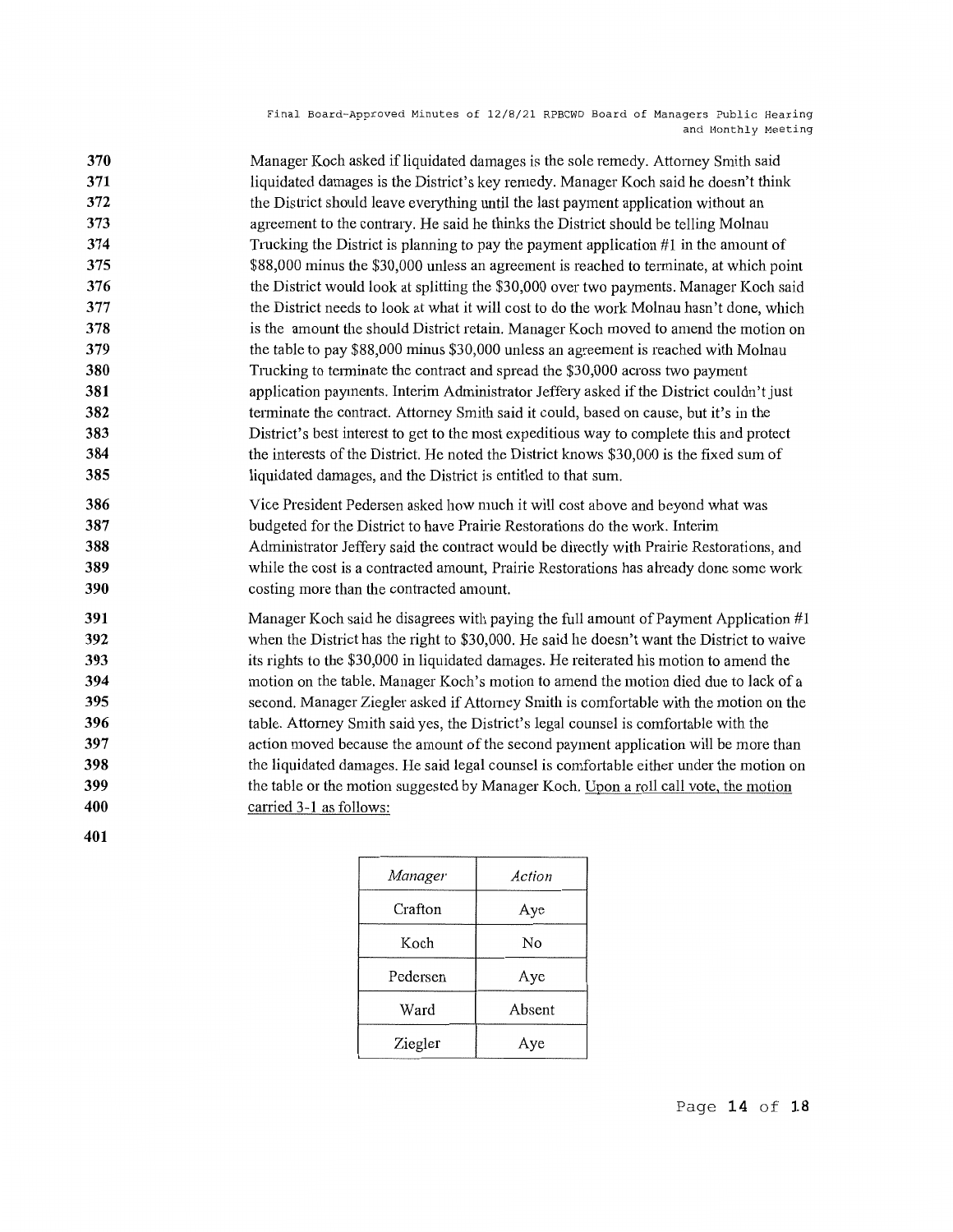**370 371 372 373 374 375 376 377 378 379 380 381 382 383 384 385**  Manager Koch asked ifliquidated damages is the sole remedy. Attorney Smith said liquidated damages is the District's key remedy. Manager Koch said he doesn't think the District should leave everything until the last payment application without an agreement to the contrary. He said he thinks the District should be telling Molnau Trucking the District is planning to pay the payment application #1 in the amount of \$88,000 minus the \$30,000 unless an agreement is reached to terminate, at which point the District would look at splitting the \$30,000 over two payments. Manager Koch said the District needs to look at what it will cost to do the work Molnau hasn't done, which is the amount the should District retain. Manager Koch moved to amend the motion on the table to pay \$88,000 minus \$30,000 unless an agreement is reached with Molnau Trucking to terminate the contract and spread the \$30,000 across two payment application payments. Interim Administrator Jeffery asked if the District couldn't just tenninate the contract. Attorney Smith said it could, based on cause, but it's in the District's best interest to get to the most expeditious way to complete this and protect the interests of the District. He noted the District knows \$30,000 is the fixed sum of liquidated damages, and the District is entitled to that sum.

**386 387 388 389 390**  Vice President Pedersen asked how much it will cost above and beyond what was budgeted for the District to have Prairie Restorations do the work. Interim Administrator Jeffery said the contract would be directly with Prairie Restorations, and while the cost is a contracted amount, Prairie Restorations has a heady done some work costing more than the contracted amount.

**391 392 393 394 395 396 397 398 399 400**  Manager Koch said he disagrees with paying the full amount of Payment Application #1 when the District has the right to \$30,000. He said he doesn't want the District to waive its rights to the \$30,000 in liquidated damages. He reiterated his motion to amend the motion on the table. Manager Koch's motion to amend the motion died due to lack of a second. Manager Ziegler asked if Attorney Smith is comfortable with the motion on the table. Attorney Smith said yes, the District's legal counsel is comfortable with the action moved because the amount of the second payment application will be more than the liquidated damages. He said legal counsel is comfortable either under the motion on the table or the motion suggested by Manager Koch. Upon a roll call vote, the motion carried 3-1 as follows:

**401** 

| Manager  | Action |
|----------|--------|
| Crafton  | Aye    |
| Koch     | No     |
| Pedersen | Aye    |
| Ward     | Absent |
| Ziegler  | Aye    |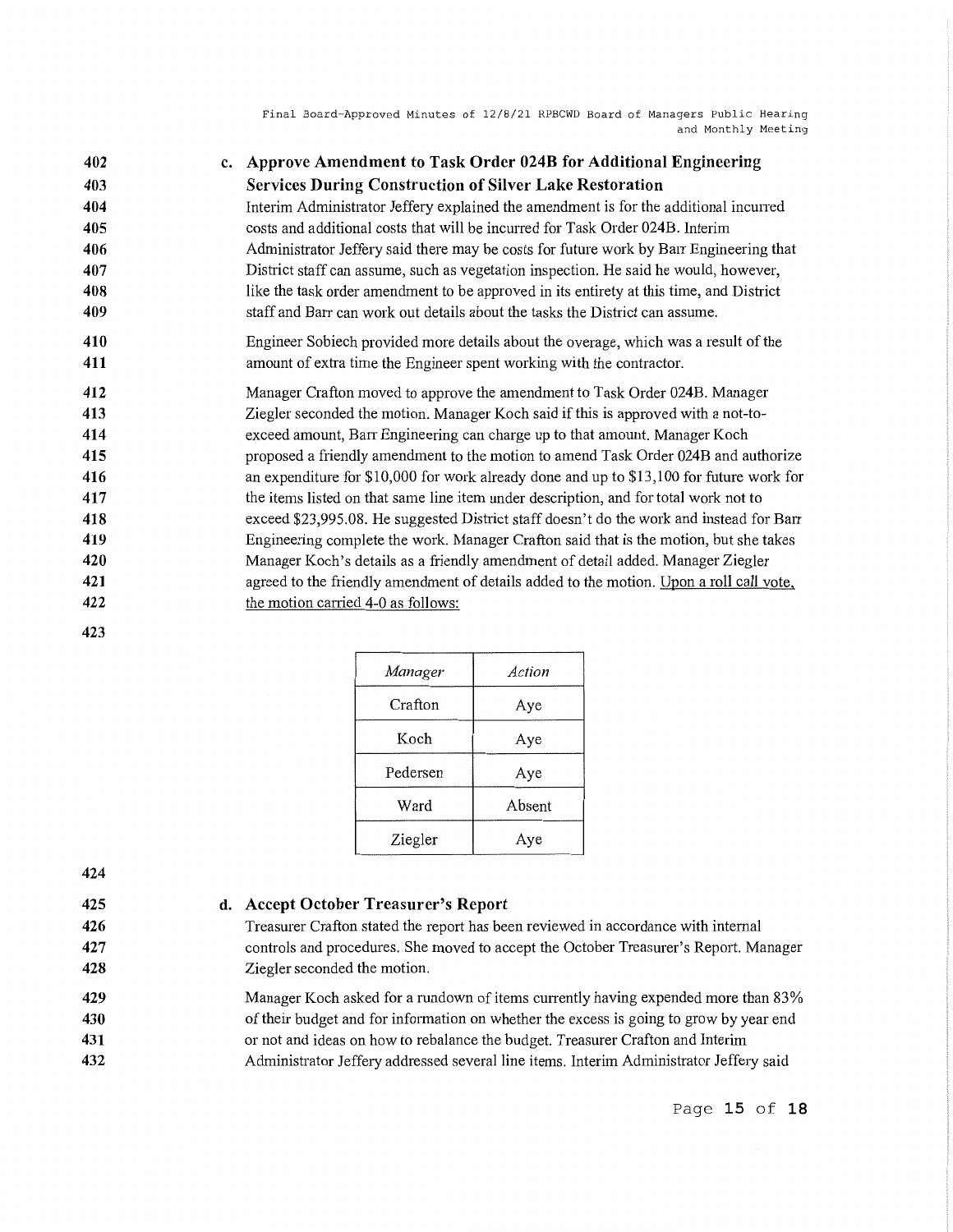**402 403 404 405 406 407 408 409 410 411 412 413 414 415 416 417 418 419 420 c. Approve Amendment to Task Order 024B for Additional Engineering Services During Construction of Silver Lake Restoration**  Interim Administrator Jeffery explained the amendment is for the additional incurred costs and additional costs that will be incurred for Task Order 024B. Interim Administrator Jeffery said there may be costs for future work by Barr Engineering that District staff can assume, such as vegetation inspection. He said he would, however, like the task order amendment to be approved in its entirety at this time, and District staff and Barr can work out details about the tasks the District can assume. Engineer Sobiech provided more details about the overage, which was a result of the amount of extra time the Engineer spent working with the contractor. Manager Crafton moved to approve the amendment to Task Order 024B. Manager Ziegler seconded the motion. Manager Koch said if this is approved with a not-toexceed amount, Barr Engineering can charge up to that amount. Manager Koch proposed a friendly amendment to the motion to amend Task Order 024B and authorize an expenditure for \$10,000 for work already done and up to \$13,100 for future work for the items listed on that same line item under description, and for total work not to exceed \$23,995.08. He suggested District staff doesn't do the work and instead for Barr Engineering complete the work. Manager Crafton said that is the motion, but she takes Manager Koch's details as a friendly amendment of detail added. Manager Ziegler

**422 423** 

**421** 

| Manager  | Action |
|----------|--------|
| Crafton  | Aye    |
| Koch     | Aye    |
| Pedersen | Aye    |
| Ward     | Absent |
| Ziegler  | Ave    |

**424 425** 

**426 427 428** 

#### **d. Accept October Treasurer's Report**

the motion carried 4-0 as follows:

Treasurer Crafton stated the report has been reviewed in accordance with internal controls and procedures. She moved to accept the October Treasurer's Report. Manager Ziegler seconded the motion.

agreed to the friendly amendment of details added to the motion. Upon a roll call vote,

**429 430 431 432**  Manager Koch asked for a rundown of items currently having expended more than 83% of their budget and for information on whether the excess is going to grow by year end or not and ideas on how to rebalance the budget. Treasurer Crafton and Interim Administrator Jeffery addressed several line items. Interim Administrator Jeffery said

### Page **15 of 18**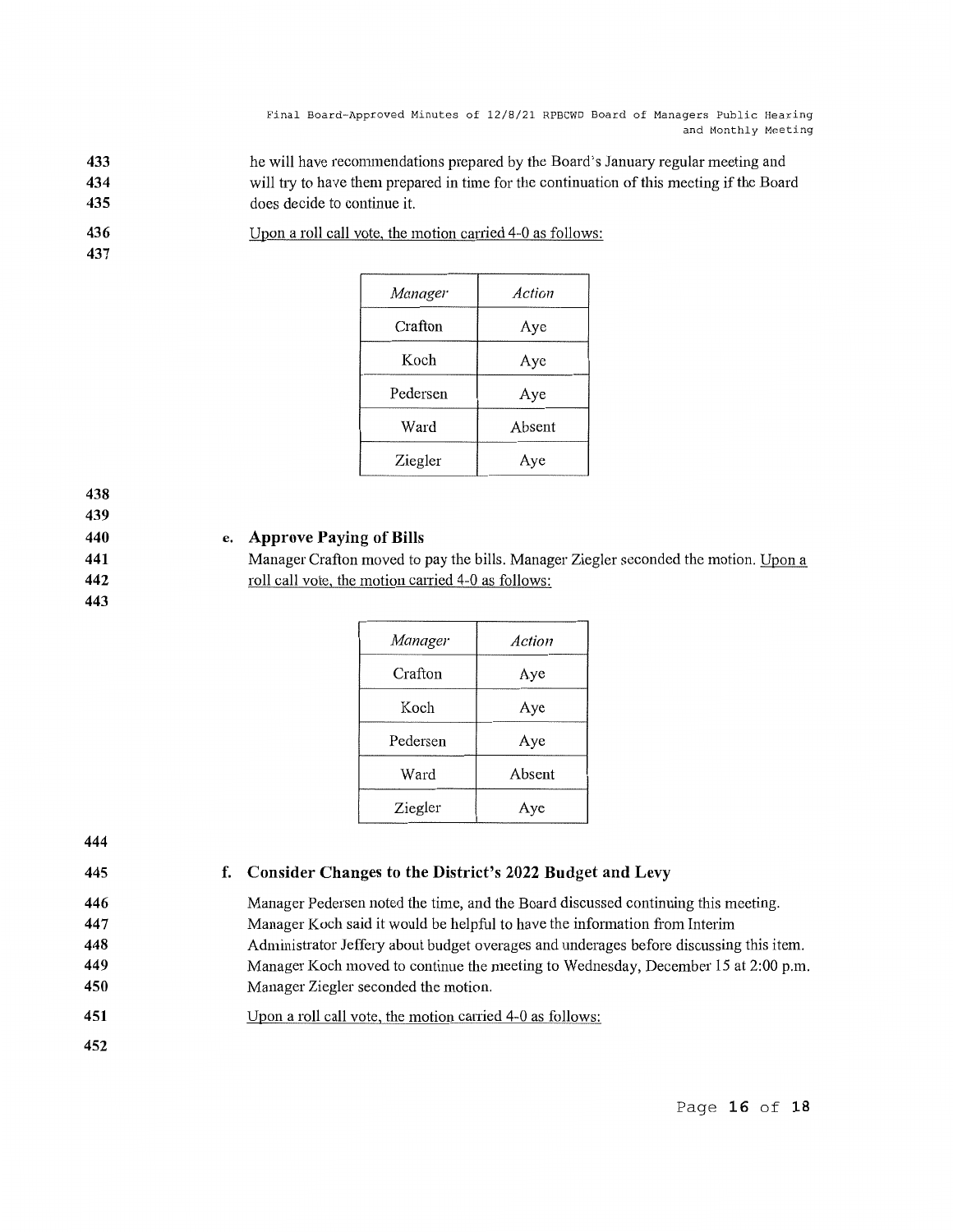- **433 434 435**  he will have recommendations prepared by the Board's January regular meeting and will try to have them prepared in time for the continuation of this meeting if the Board does decide to continue it.
- **436**  Upon a roll call vote, the motion carried 4-0 as follows:

**437** 

| <b>Manager</b> | Action |
|----------------|--------|
| Crafton        | Aye    |
| Koch           | Aye    |
| Pedersen       | Aye    |
| Ward           | Absent |
| Ziegler        | Aye    |

**438** 

**439 440** 

**441 442 443** 

## **e. Approve Paying of Bills**

Manager Crafton moved to pay the bills. Manager Ziegler seconded the motion. Upon a roll call vote, the motion carried 4-0 as follows:

| Manager  | Action |
|----------|--------|
| Crafton  | Aye    |
| Koch     | Aye    |
| Pedersen | Aye    |
| Ward     | Absent |
| Ziegler  | Aye    |

**444** 

**445 446** 

## **f. Consider Changes to the District's 2022 Budget and Levy**

- Manager Pedersen noted the time, and the Board discussed continuing this meeting. Manager Koch said it would be helpful to have the information from Interim Administrator Jeffery about budget overages and underages before discussing this item. Manager Koch moved to continue the meeting to Wednesday, December 15 at 2:00 p.m. Manager Ziegler seconded the motion.
- **451**  Upon a roll call vote, the motion carried  $4-0$  as follows:
- **452**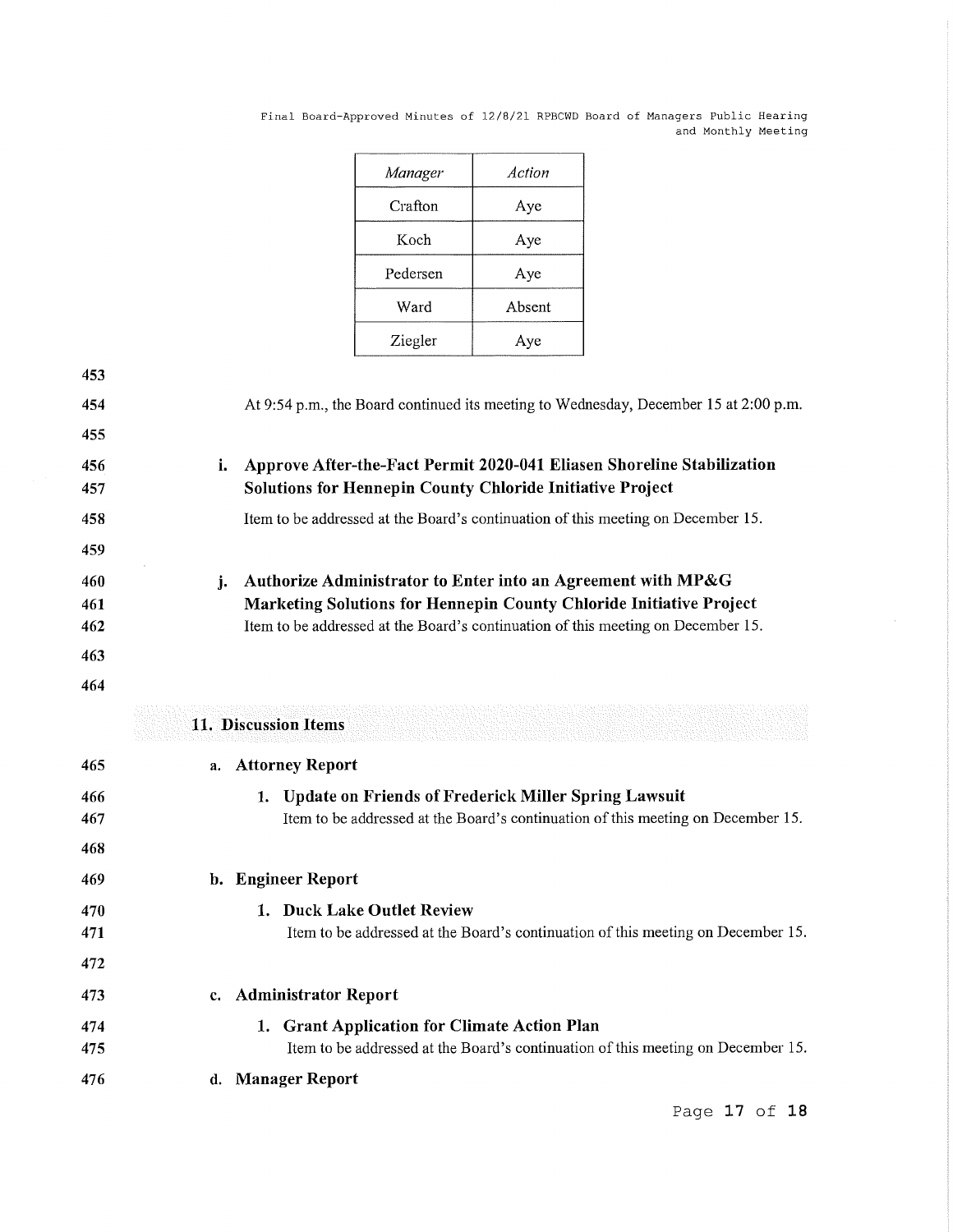| Manager  | Action |
|----------|--------|
| Crafton  | Aye    |
| Koch     | Aye    |
| Pedersen | Aye    |
| Ward     | Absent |
| Ziegler  | Aye    |

| 453 |    |                                                                                      |
|-----|----|--------------------------------------------------------------------------------------|
| 454 |    | At 9:54 p.m., the Board continued its meeting to Wednesday, December 15 at 2:00 p.m. |
| 455 |    |                                                                                      |
| 456 | i. | Approve After-the-Fact Permit 2020-041 Eliasen Shoreline Stabilization               |
| 457 |    | <b>Solutions for Hennepin County Chloride Initiative Project</b>                     |
| 458 |    | Item to be addressed at the Board's continuation of this meeting on December 15.     |
| 459 |    |                                                                                      |
| 460 | j. | Authorize Administrator to Enter into an Agreement with MP&G                         |
| 461 |    | Marketing Solutions for Hennepin County Chloride Initiative Project                  |
| 462 |    | Item to be addressed at the Board's continuation of this meeting on December 15.     |
| 463 |    |                                                                                      |
| 464 |    |                                                                                      |

# **11. Discussion Items**

| 465        | a. Attorney Report                                                                                                                                    |
|------------|-------------------------------------------------------------------------------------------------------------------------------------------------------|
| 466<br>467 | <b>Update on Friends of Frederick Miller Spring Lawsuit</b><br>1.<br>Item to be addressed at the Board's continuation of this meeting on December 15. |
| 468        |                                                                                                                                                       |
| 469        | b. Engineer Report                                                                                                                                    |
| 470        | <b>Duck Lake Outlet Review</b>                                                                                                                        |
| 471        | Item to be addressed at the Board's continuation of this meeting on December 15.                                                                      |
| 472        |                                                                                                                                                       |
| 473        | c. Administrator Report                                                                                                                               |
| 474        | 1. Grant Application for Climate Action Plan                                                                                                          |
| 475        | Item to be addressed at the Board's continuation of this meeting on December 15.                                                                      |
| 476        | d. Manager Report                                                                                                                                     |